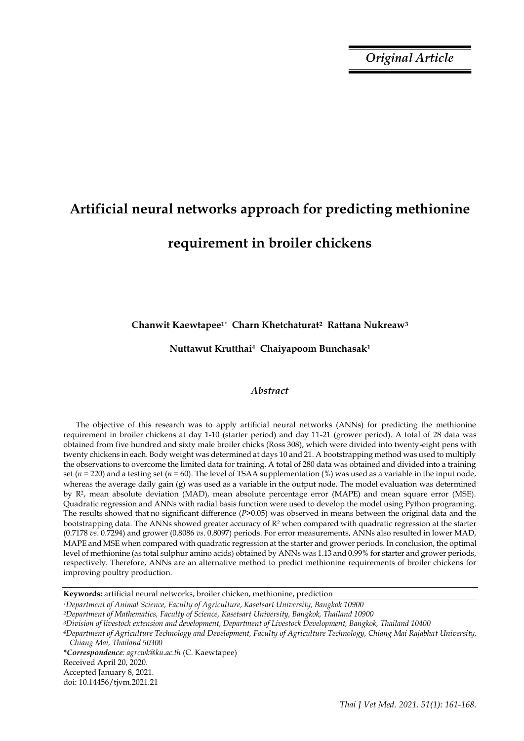*Original Article*

# **Artificial neural networks approach for predicting methionine requirement in broiler chickens**

# **Chanwit Kaewtapee1\* Charn Khetchaturat2 Rattana Nukreaw<sup>3</sup>**

**Nuttawut Krutthai4 Chaiyapoom Bunchasak<sup>1</sup>**

## *Abstract*

The objective of this research was to apply artificial neural networks (ANNs) for predicting the methionine requirement in broiler chickens at day 1-10 (starter period) and day 11-21 (grower period). A total of 28 data was obtained from five hundred and sixty male broiler chicks (Ross 308), which were divided into twenty-eight pens with twenty chickens in each. Body weight was determined at days 10 and 21. A bootstrapping method was used to multiply the observations to overcome the limited data for training. A total of 280 data was obtained and divided into a training set (*n* = 220) and a testing set (*n* = 60). The level of TSAA supplementation (%) was used as a variable in the input node, whereas the average daily gain (g) was used as a variable in the output node. The model evaluation was determined by R2, mean absolute deviation (MAD), mean absolute percentage error (MAPE) and mean square error (MSE). Quadratic regression and ANNs with radial basis function were used to develop the model using Python programing. The results showed that no significant difference (*P*>0.05) was observed in means between the original data and the bootstrapping data. The ANNs showed greater accuracy of  $R<sup>2</sup>$  when compared with quadratic regression at the starter (0.7178 *vs*. 0.7294) and grower (0.8086 *vs*. 0.8097) periods. For error measurements, ANNs also resulted in lower MAD, MAPE and MSE when compared with quadratic regression at the starter and grower periods. In conclusion, the optimal level of methionine (as total sulphur amino acids) obtained by ANNs was 1.13 and 0.99% for starter and grower periods, respectively. Therefore, ANNs are an alternative method to predict methionine requirements of broiler chickens for improving poultry production.

**Keywords:** artificial neural networks, broiler chicken, methionine, prediction

| <sup>1</sup> Department of Animal Science, Faculty of Agriculture, Kasetsart University, Bangkok 10900                     |
|----------------------------------------------------------------------------------------------------------------------------|
| <sup>2</sup> Department of Mathematics, Faculty of Science, Kasetsart University, Bangkok, Thailand 10900                  |
| <sup>3</sup> Division of livestock extension and development, Department of Livestock Development, Bangkok, Thailand 10400 |
| 4Department of Agriculture Technology and Development, Faculty of Agriculture Technology, Chiang Mai Rajabhat University,  |
| Chiang Mai, Thailand 50300                                                                                                 |
| <i>*Correspondence: agrcwk@ku.ac.th (C. Kaewtapee)</i>                                                                     |
| Received April 20, 2020.                                                                                                   |
| Accepted January 8, 2021.                                                                                                  |
| doi: 10.14456/tjvm.2021.21                                                                                                 |
|                                                                                                                            |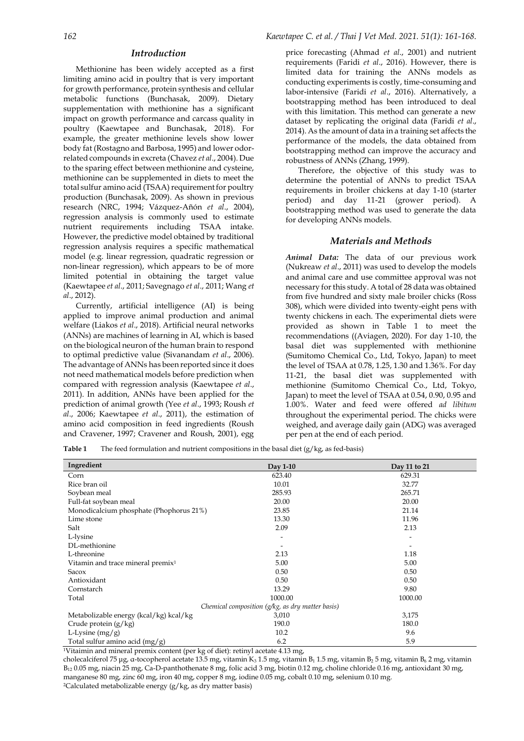## *Introduction*

Methionine has been widely accepted as a first limiting amino acid in poultry that is very important for growth performance, protein synthesis and cellular metabolic functions (Bunchasak, 2009). Dietary supplementation with methionine has a significant impact on growth performance and carcass quality in poultry (Kaewtapee and Bunchasak, 2018). For example, the greater methionine levels show lower body fat (Rostagno and Barbosa, 1995) and lower odorrelated compounds in excreta (Chavez *et al*., 2004). Due to the sparing effect between methionine and cysteine, methionine can be supplemented in diets to meet the total sulfur amino acid (TSAA) requirement for poultry production (Bunchasak, 2009). As shown in previous research (NRC, 1994; Vázquez-Añón *et al*., 2004), regression analysis is commonly used to estimate nutrient requirements including TSAA intake. However, the predictive model obtained by traditional regression analysis requires a specific mathematical model (e.g. linear regression, quadratic regression or non-linear regression), which appears to be of more limited potential in obtaining the target value (Kaewtapee *et al*., 2011; Savegnago *et al*., 2011; Wang *et al*., 2012).

Currently, artificial intelligence (AI) is being applied to improve animal production and animal welfare (Liakos *et al*., 2018). Artificial neural networks (ANNs) are machines of learning in AI, which is based on the biological neuron of the human brain to respond to optimal predictive value (Sivanandam *et al*., 2006). The advantage of ANNs has been reported since it does not need mathematical models before prediction when compared with regression analysis (Kaewtapee *et al*., 2011). In addition, ANNs have been applied for the prediction of animal growth (Yee *et al*., 1993; Roush *et al*., 2006; Kaewtapee *et al*., 2011), the estimation of amino acid composition in feed ingredients (Roush and Cravener, 1997; Cravener and Roush, 2001), egg

price forecasting (Ahmad *et al*., 2001) and nutrient requirements (Faridi *et al*., 2016). However, there is limited data for training the ANNs models as conducting experiments is costly, time-consuming and labor-intensive (Faridi *et al*., 2016). Alternatively, a bootstrapping method has been introduced to deal with this limitation. This method can generate a new dataset by replicating the original data (Faridi *et al*., 2014). As the amount of data in a training set affects the performance of the models, the data obtained from bootstrapping method can improve the accuracy and robustness of ANNs (Zhang, 1999).

Therefore, the objective of this study was to determine the potential of ANNs to predict TSAA requirements in broiler chickens at day 1-10 (starter period) and day 11-21 (grower period). A bootstrapping method was used to generate the data for developing ANNs models.

## *Materials and Methods*

*Animal Data:* The data of our previous work (Nukreaw *et al*., 2011) was used to develop the models and animal care and use committee approval was not necessary for this study. A total of 28 data was obtained from five hundred and sixty male broiler chicks (Ross 308), which were divided into twenty-eight pens with twenty chickens in each. The experimental diets were provided as shown in Table 1 to meet the recommendations ((Aviagen, 2020). For day 1-10, the basal diet was supplemented with methionine (Sumitomo Chemical Co., Ltd, Tokyo, Japan) to meet the level of TSAA at 0.78, 1.25, 1.30 and 1.36%. For day 11-21, the basal diet was supplemented with methionine (Sumitomo Chemical Co., Ltd, Tokyo, Japan) to meet the level of TSAA at 0.54, 0.90, 0.95 and 1.00%. Water and feed were offered *ad libitum* throughout the experimental period. The chicks were weighed, and average daily gain (ADG) was averaged per pen at the end of each period.

**Table 1** The feed formulation and nutrient compositions in the basal diet (g/kg, as fed-basis)

| Ingredient                                    | Day 1-10                                           | Day 11 to 21 |
|-----------------------------------------------|----------------------------------------------------|--------------|
| Corn                                          | 623.40                                             | 629.31       |
| Rice bran oil                                 | 10.01                                              | 32.77        |
| Soybean meal                                  | 285.93                                             | 265.71       |
| Full-fat soybean meal                         | 20.00                                              | 20.00        |
| Monodicalcium phosphate (Phophorus 21%)       | 23.85                                              | 21.14        |
| Lime stone                                    | 13.30                                              | 11.96        |
| Salt                                          | 2.09                                               | 2.13         |
| L-lysine                                      |                                                    |              |
| DL-methionine                                 |                                                    |              |
| L-threonine                                   | 2.13                                               | 1.18         |
| Vitamin and trace mineral premix <sup>1</sup> | 5.00                                               | 5.00         |
| Sacox                                         | 0.50                                               | 0.50         |
| Antioxidant                                   | 0.50                                               | 0.50         |
| Cornstarch                                    | 13.29                                              | 9.80         |
| Total                                         | 1000.00                                            | 1000.00      |
|                                               | Chemical composition $(g/kg, as dry matter basis)$ |              |
| Metabolizable energy (kcal/kg) kcal/kg        | 3,010                                              | 3,175        |
| Crude protein $(g/kg)$                        | 190.0                                              | 180.0        |
| L-Lysine $(mg/g)$                             | 10.2                                               | 9.6          |
| Total sulfur amino acid (mg/g)                | 6.2                                                | 5.9          |

<sup>1</sup>Vitaimin and mineral premix content (per kg of diet): retinyl acetate 4.13 mg,

cholecalciferol 75 μg, α-tocopherol acetate 13.5 mg, vitamin K<sub>3</sub> 1.5 mg, vitamin B<sub>1</sub> 1.5 mg, vitamin B<sub>2</sub> 5 mg, vitamin B<sub>6</sub> 2 mg, vitamin B<sup>12</sup> 0.05 mg, niacin 25 mg, Ca-D-panthothenate 8 mg, folic acid 3 mg, biotin 0.12 mg, choline chloride 0.16 mg, antioxidant 30 mg, manganese 80 mg, zinc 60 mg, iron 40 mg, copper 8 mg, iodine 0.05 mg, cobalt 0.10 mg, selenium 0.10 mg. 2Calculated metabolizable energy (g/kg, as dry matter basis)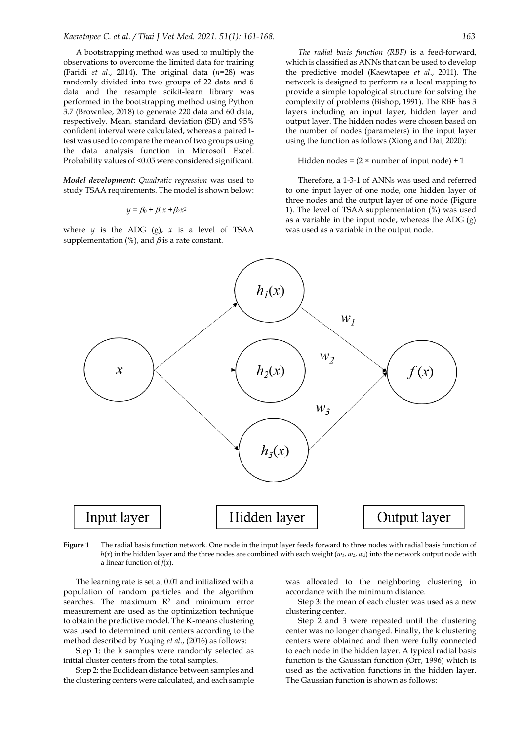A bootstrapping method was used to multiply the observations to overcome the limited data for training (Faridi *et al*., 2014). The original data (*n*=28) was randomly divided into two groups of 22 data and 6 data and the resample scikit-learn library was performed in the bootstrapping method using Python 3.7 (Brownlee, 2018) to generate 220 data and 60 data, respectively. Mean, standard deviation (SD) and 95% confident interval were calculated, whereas a paired ttest was used to compare the mean of two groups using the data analysis function in Microsoft Excel. Probability values of <0.05 were considered significant.

*Model development: Quadratic regression* was used to study TSAA requirements. The model is shown below:

$$
y = \beta_0 + \beta_1 x + \beta_2 x^2
$$

where  $y$  is the ADG (g),  $x$  is a level of TSAA supplementation (%), and  $\beta$  is a rate constant.

*The radial basis function (RBF)* is a feed-forward, which is classified as ANNs that can be used to develop the predictive model (Kaewtapee *et al*., 2011). The network is designed to perform as a local mapping to provide a simple topological structure for solving the complexity of problems (Bishop, 1991). The RBF has 3 layers including an input layer, hidden layer and output layer. The hidden nodes were chosen based on the number of nodes (parameters) in the input layer using the function as follows (Xiong and Dai, 2020):

### Hidden nodes =  $(2 \times$  number of input node) + 1

Therefore, a 1-3-1 of ANNs was used and referred to one input layer of one node, one hidden layer of three nodes and the output layer of one node (Figure 1). The level of TSAA supplementation (%) was used as a variable in the input node, whereas the ADG  $(g)$ was used as a variable in the output node.



**Figure 1** The radial basis function network. One node in the input layer feeds forward to three nodes with radial basis function of  $h(x)$  in the hidden layer and the three nodes are combined with each weight ( $w_1$ ,  $w_2$ ,  $w_3$ ) into the network output node with a linear function of *f*(*x*).

The learning rate is set at 0.01 and initialized with a population of random particles and the algorithm searches. The maximum R<sup>2</sup> and minimum error measurement are used as the optimization technique to obtain the predictive model. The K-means clustering was used to determined unit centers according to the method described by Yuqing *et al*., (2016) as follows:

Step 1: the k samples were randomly selected as initial cluster centers from the total samples.

Step 2: the Euclidean distance between samples and the clustering centers were calculated, and each sample

was allocated to the neighboring clustering in accordance with the minimum distance.

Step 3: the mean of each cluster was used as a new clustering center.

Step 2 and 3 were repeated until the clustering center was no longer changed. Finally, the k clustering centers were obtained and then were fully connected to each node in the hidden layer. A typical radial basis function is the Gaussian function (Orr, 1996) which is used as the activation functions in the hidden layer. The Gaussian function is shown as follows: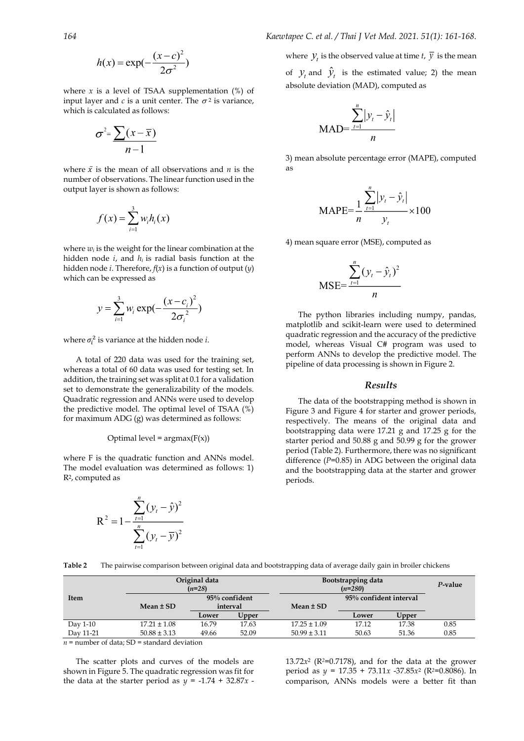$$
h(x) = \exp(-\frac{(x-c)^2}{2\sigma^2})
$$

where  $x$  is a level of TSAA supplementation  $(\%)$  of input layer and  $c$  is a unit center. The  $\sigma^2$  is variance, which is calculated as follows:

$$
\sigma^2 = \frac{\sum (x - \overline{x})}{n-1}
$$

where  $\bar{x}$  is the mean of all observations and *n* is the number of observations. The linear function used in the output layer is shown as follows:

$$
f(x) = \sum_{i=1}^{3} w_i h_i(x)
$$

where  $w_i$  is the weight for the linear combination at the hidden node  $i$ , and  $h_i$  is radial basis function at the hidden node *i*. Therefore, *f*(*x*) is a function of output (*y*) which can be expressed as

$$
y = \sum_{i=1}^{3} w_i \exp(-\frac{(x-c_i)^2}{2\sigma_i^2})
$$

where  $\sigma_i^2$  is variance at the hidden node *i*.

A total of 220 data was used for the training set, whereas a total of 60 data was used for testing set. In addition, the training set was split at 0.1 for a validation set to demonstrate the generalizability of the models. Quadratic regression and ANNs were used to develop the predictive model. The optimal level of TSAA (%) for maximum ADG (g) was determined as follows:

Optimal level = 
$$
argmax(F(x))
$$

where F is the quadratic function and ANNs model. The model evaluation was determined as follows: 1) R2, computed as

$$
R^{2} = 1 - \frac{\sum_{t=1}^{n} (y_{t} - \hat{y})^{2}}{\sum_{t=1}^{n} (y_{t} - \overline{y})^{2}}
$$

where  $\mathcal{Y}_t$  is the observed value at time *t*,  $\mathcal{Y}$  is the mean

of  $y_t$  and  $\hat{y}_t$  is the estimated value; 2) the mean absolute deviation (MAD), computed as

$$
MAD = \frac{\sum_{t=1}^{n} |y_t - \hat{y}_t|}{n}
$$

3) mean absolute percentage error (MAPE), computed as

$$
MAPE = \frac{1}{n} \frac{\sum_{t=1}^{n} |y_t - \hat{y}_t|}{y_t} \times 100
$$

4) mean square error (MSE), computed as

$$
\text{MSE} = \frac{\sum_{t=1}^{n} (y_t - \hat{y}_t)^2}{n}
$$

The python libraries including numpy, pandas, matplotlib and scikit-learn were used to determined quadratic regression and the accuracy of the predictive model, whereas Visual C# program was used to perform ANNs to develop the predictive model. The pipeline of data processing is shown in Figure 2.

## *Results*

The data of the bootstrapping method is shown in Figure 3 and Figure 4 for starter and grower periods, respectively. The means of the original data and bootstrapping data were 17.21 g and 17.25 g for the starter period and 50.88 g and 50.99 g for the grower period (Table 2). Furthermore, there was no significant difference (*P*=0.85) in ADG between the original data and the bootstrapping data at the starter and grower periods.

**Table 2** The pairwise comparison between original data and bootstrapping data of average daily gain in broiler chickens

|                       |                  | Original data<br>$(n=28)$    |       | Bootstrapping data<br>$(n=280)$ |                        |       | P-value |
|-----------------------|------------------|------------------------------|-------|---------------------------------|------------------------|-------|---------|
| Item<br>Mean $\pm$ SD |                  | $95\%$ confident<br>interval |       | Mean $\pm$ SD                   | 95% confident interval |       |         |
|                       |                  | Lower                        | Upper |                                 | Lower                  | Upper |         |
| Day 1-10              | $17.21 \pm 1.08$ | 16.79                        | 17.63 | $17.25 \pm 1.09$                | 17.12                  | 17.38 | 0.85    |
| Day 11-21             | $50.88 \pm 3.13$ | 49.66                        | 52.09 | $50.99 \pm 3.11$                | 50.63                  | 51.36 | 0.85    |

 $n =$  number of data;  $SD =$  standard deviation

The scatter plots and curves of the models are shown in Figure 5. The quadratic regression was fit for the data at the starter period as  $y = -1.74 + 32.87x$ .

 $13.72x^2$  ( $R^2=0.7178$ ), and for the data at the grower period as *y* = 17.35 + 73.11*x* -37.85*x*<sup>2</sup> (R*2*=0.8086). In comparison, ANNs models were a better fit than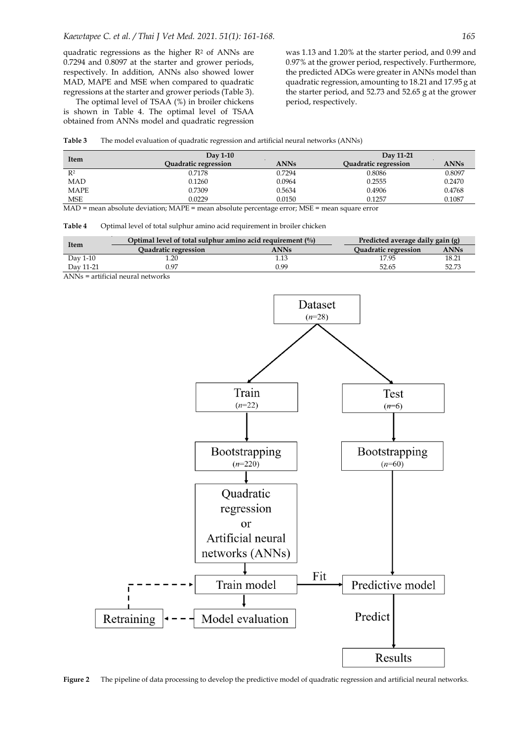quadratic regressions as the higher R<sup>2</sup> of ANNs are 0.7294 and 0.8097 at the starter and grower periods, respectively. In addition, ANNs also showed lower MAD, MAPE and MSE when compared to quadratic regressions at the starter and grower periods (Table 3).

The optimal level of TSAA (%) in broiler chickens is shown in Table 4. The optimal level of TSAA obtained from ANNs model and quadratic regression

was 1.13 and 1.20% at the starter period, and 0.99 and 0.97% at the grower period, respectively. Furthermore, the predicted ADGs were greater in ANNs model than quadratic regression, amounting to 18.21 and 17.95 g at the starter period, and 52.73 and 52.65 g at the grower period, respectively.

#### **Table 3** The model evaluation of quadratic regression and artificial neural networks (ANNs)

| Item           | $\mathrm{Dav}$ 1-10         |             | Day 11-21                   |             |  |
|----------------|-----------------------------|-------------|-----------------------------|-------------|--|
|                | <b>Quadratic regression</b> | <b>ANNs</b> | <b>Quadratic regression</b> | <b>ANNs</b> |  |
| R <sup>2</sup> | 0.7178                      | 0.7294      | 0.8086                      | 0.8097      |  |
| MAD            | 0.1260                      | 0.0964      | 0.2555                      | 0.2470      |  |
| <b>MAPE</b>    | 0.7309                      | 0.5634      | 0.4906                      | 0.4768      |  |
| <b>MSE</b>     | 0.0229                      | 0.0150      | 0.1257                      | 0.1087      |  |

MAD = mean absolute deviation; MAPE = mean absolute percentage error; MSE = mean square error

## **Table 4** Optimal level of total sulphur amino acid requirement in broiler chicken

| Item      | Optimal level of total sulphur amino acid requirement $\binom{0}{0}$ | Predicted average daily gain (g) |                             |             |
|-----------|----------------------------------------------------------------------|----------------------------------|-----------------------------|-------------|
|           | <b>Ouadratic regression</b>                                          | <b>ANNs</b>                      | <b>Ouadratic regression</b> | <b>ANNs</b> |
| Day 1-10  |                                                                      |                                  | 17.95                       | 18.21       |
| Dav 11-21 | 1.97                                                                 | 0.99                             | 52.65                       | 52.73       |

ANNs = artificial neural networks



**Figure 2** The pipeline of data processing to develop the predictive model of quadratic regression and artificial neural networks.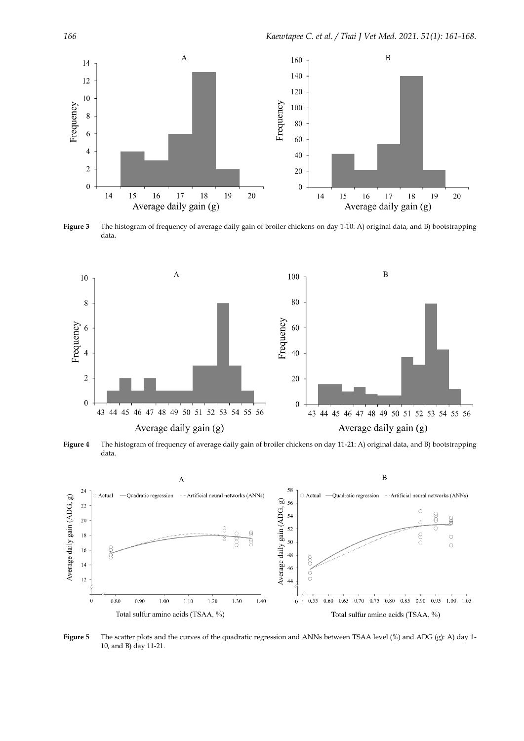

**Figure 3** The histogram of frequency of average daily gain of broiler chickens on day 1-10: A) original data, and B) bootstrapping data.



**Figure 4** The histogram of frequency of average daily gain of broiler chickens on day 11-21: A) original data, and B) bootstrapping data.



**Figure 5** The scatter plots and the curves of the quadratic regression and ANNs between TSAA level (%) and ADG (g): A) day 1-10, and B) day 11-21.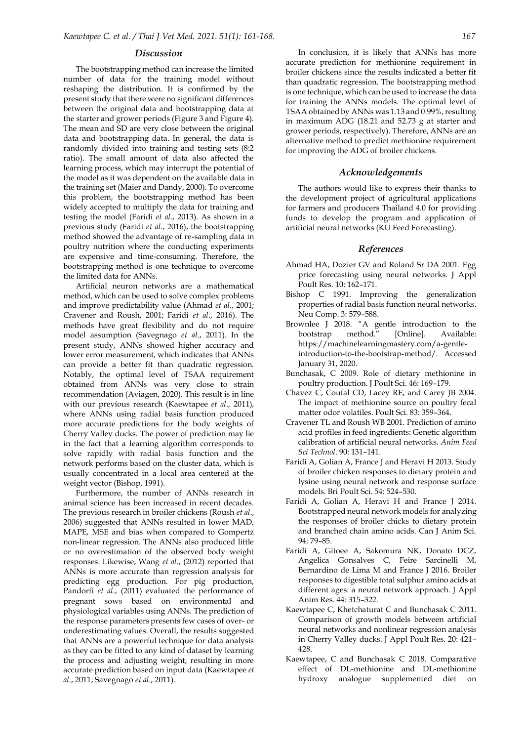#### *Discussion*

The bootstrapping method can increase the limited number of data for the training model without reshaping the distribution. It is confirmed by the present study that there were no significant differences between the original data and bootstrapping data at the starter and grower periods (Figure 3 and Figure 4). The mean and SD are very close between the original data and bootstrapping data. In general, the data is randomly divided into training and testing sets (8:2 ratio). The small amount of data also affected the learning process, which may interrupt the potential of the model as it was dependent on the available data in the training set (Maier and Dandy, 2000). To overcome this problem, the bootstrapping method has been widely accepted to multiply the data for training and testing the model (Faridi *et al*., 2013). As shown in a previous study (Faridi *et al*., 2016), the bootstrapping method showed the advantage of re-sampling data in poultry nutrition where the conducting experiments are expensive and time-consuming. Therefore, the bootstrapping method is one technique to overcome the limited data for ANNs.

Artificial neuron networks are a mathematical method, which can be used to solve complex problems and improve predictability value (Ahmad *et al*., 2001; Cravener and Roush, 2001; Faridi *et al*., 2016). The methods have great flexibility and do not require model assumption (Savegnago *et al*., 2011). In the present study, ANNs showed higher accuracy and lower error measurement, which indicates that ANNs can provide a better fit than quadratic regression. Notably, the optimal level of TSAA requirement obtained from ANNs was very close to strain recommendation (Aviagen, 2020). This result is in line with our previous research (Kaewtapee *et al*., 2011), where ANNs using radial basis function produced more accurate predictions for the body weights of Cherry Valley ducks. The power of prediction may lie in the fact that a learning algorithm corresponds to solve rapidly with radial basis function and the network performs based on the cluster data, which is usually concentrated in a local area centered at the weight vector (Bishop, 1991).

Furthermore, the number of ANNs research in animal science has been increased in recent decades. The previous research in broiler chickens (Roush *et al*., 2006) suggested that ANNs resulted in lower MAD, MAPE, MSE and bias when compared to Gompertz non-linear regression. The ANNs also produced little or no overestimation of the observed body weight responses. Likewise, Wang *et al*., (2012) reported that ANNs is more accurate than regression analysis for predicting egg production. For pig production, Pandorfi *et al*., (2011) evaluated the performance of pregnant sows based on environmental and physiological variables using ANNs. The prediction of the response parameters presents few cases of over- or underestimating values. Overall, the results suggested that ANNs are a powerful technique for data analysis as they can be fitted to any kind of dataset by learning the process and adjusting weight, resulting in more accurate prediction based on input data (Kaewtapee *et al*., 2011; Savegnago *et al*., 2011).

In conclusion, it is likely that ANNs has more accurate prediction for methionine requirement in broiler chickens since the results indicated a better fit than quadratic regression. The bootstrapping method is one technique, which can be used to increase the data for training the ANNs models. The optimal level of TSAA obtained by ANNs was 1.13 and 0.99%, resulting in maximum ADG (18.21 and 52.73 g at starter and grower periods, respectively). Therefore, ANNs are an alternative method to predict methionine requirement for improving the ADG of broiler chickens.

#### *Acknowledgements*

The authors would like to express their thanks to the development project of agricultural applications for farmers and producers Thailand 4.0 for providing funds to develop the program and application of artificial neural networks (KU Feed Forecasting).

### *References*

- Ahmad HA, Dozier GV and Roland Sr DA 2001. Egg price forecasting using neural networks. J Appl Poult Res. 10: 162–171.
- Bishop C 1991. Improving the generalization properties of radial basis function neural networks. Neu Comp. 3: 579–588.
- Brownlee J 2018. "A gentle introduction to the bootstrap method." [Online]. Available: https://machinelearningmastery.com/a-gentleintroduction-to-the-bootstrap-method/. Accessed January 31, 2020.
- Bunchasak, C 2009. Role of dietary methionine in poultry production. J Poult Sci. 46: 169–179.
- Chavez C, Coufal CD, Lacey RE, and Carey JB 2004. The impact of methionine source on poultry fecal matter odor volatiles. Poult Sci. 83: 359–364.
- Cravener TL and Roush WB 2001. Prediction of amino acid profiles in feed ingredients: Genetic algorithm calibration of artificial neural networks. *Anim Feed Sci Technol*. 90: 131–141.
- Faridi A, Golian A, France J and Heravi H 2013. Study of broiler chicken responses to dietary protein and lysine using neural network and response surface models. Bri Poult Sci. 54: 524–530.
- Faridi A, Golian A, Heravi H and France J 2014. Bootstrapped neural network models for analyzing the responses of broiler chicks to dietary protein and branched chain amino acids. Can J Anim Sci. 94: 79–85.
- Faridi A, Gitoee A, Sakomura NK, Donato DCZ, Angelica Gonsalves C, Feire Sarcinelli M, Bernardino de Lima M and France J 2016. Broiler responses to digestible total sulphur amino acids at different ages: a neural network approach. J Appl Anim Res. 44: 315–322.
- Kaewtapee C, Khetchaturat C and Bunchasak C 2011. Comparison of growth models between artificial neural networks and nonlinear regression analysis in Cherry Valley ducks. J Appl Poult Res. 20: 421– 428.
- Kaewtapee, C and Bunchasak C 2018. Comparative effect of DL-methionine and DL-methionine hydroxy analogue supplemented diet on